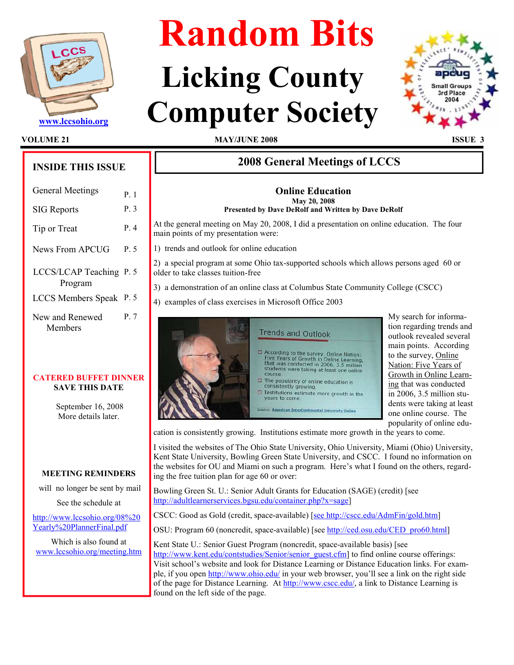

# Random Bits

## Licking County Www.lccsohio.org Computer Society



VOLUME 21 MAY/JUNE 2008 ISSUE 3

## INSIDE THIS ISSUE

| <b>General Meetings</b>            | P 1  |
|------------------------------------|------|
| <b>SIG</b> Reports                 | P.3  |
| Tip or Treat                       | P.4  |
| News From APCUG                    | P. 5 |
| LCCS/LCAP Teaching P. 5<br>Program |      |
| LCCS Members Speak P. 5            |      |
| New and Renewed<br>Members         | P. 7 |

#### CATERED BUFFET DINNER SAVE THIS DATE

 September 16, 2008 More details later.

#### MEETING REMINDERS

will no longer be sent by mail

See the schedule at

http://www.lccsohio.org/08%20 Yearly%20PlannerFinal.pdf

Which is also found at www.lccsohio.org/meeting.htm

### 2008 General Meetings of LCCS

#### Online Education May 20, 2008 Presented by Dave DeRolf and Written by Dave DeRolf

At the general meeting on May 20, 2008, I did a presentation on online education. The four main points of my presentation were:

1) trends and outlook for online education

2) a special program at some Ohio tax-supported schools which allows persons aged 60 or older to take classes tuition-free

3) a demonstration of an online class at Columbus State Community College (CSCC)

4) examples of class exercises in Microsoft Office 2003



My search for information regarding trends and outlook revealed several main points. According to the survey, Online Nation: Five Years of Growth in Online Learning that was conducted in 2006, 3.5 million students were taking at least one online course. The popularity of online edu-

cation is consistently growing. Institutions estimate more growth in the years to come.

I visited the websites of The Ohio State University, Ohio University, Miami (Ohio) University, Kent State University, Bowling Green State University, and CSCC. I found no information on the websites for OU and Miami on such a program. Here's what I found on the others, regarding the free tuition plan for age 60 or over:

Bowling Green St. U.: Senior Adult Grants for Education (SAGE) (credit) [see http://adultlearnerservices.bgsu.edu/container.php?x=sage]

CSCC: Good as Gold (credit, space-available) [see http://cscc.edu/AdmFin/gold.htm]

OSU: Program 60 (noncredit, space-available) [see http://ced.osu.edu/CED\_pro60.html]

Kent State U.: Senior Guest Program (noncredit, space-available basis) [see http://www.kent.edu/contstudies/Senior/senior\_guest.cfm] to find online course offerings: Visit school's website and look for Distance Learning or Distance Education links. For example, if you open http://www.ohio.edu/ in your web browser, you'll see a link on the right side of the page for Distance Learning. At http://www.cscc.edu/, a link to Distance Learning is found on the left side of the page.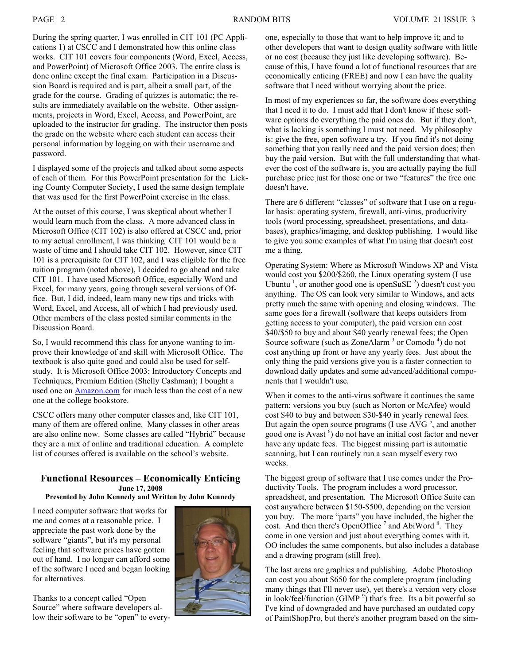During the spring quarter, I was enrolled in CIT 101 (PC Applications 1) at CSCC and I demonstrated how this online class works. CIT 101 covers four components (Word, Excel, Access, and PowerPoint) of Microsoft Office 2003. The entire class is done online except the final exam. Participation in a Discussion Board is required and is part, albeit a small part, of the grade for the course. Grading of quizzes is automatic; the results are immediately available on the website. Other assignments, projects in Word, Excel, Access, and PowerPoint, are uploaded to the instructor for grading. The instructor then posts the grade on the website where each student can access their personal information by logging on with their username and password.

I displayed some of the projects and talked about some aspects of each of them. For this PowerPoint presentation for the Licking County Computer Society, I used the same design template that was used for the first PowerPoint exercise in the class.

At the outset of this course, I was skeptical about whether I would learn much from the class. A more advanced class in Microsoft Office (CIT 102) is also offered at CSCC and, prior to my actual enrollment, I was thinking CIT 101 would be a waste of time and I should take CIT 102. However, since CIT 101 is a prerequisite for CIT 102, and I was eligible for the free tuition program (noted above), I decided to go ahead and take CIT 101. I have used Microsoft Office, especially Word and Excel, for many years, going through several versions of Office. But, I did, indeed, learn many new tips and tricks with Word, Excel, and Access, all of which I had previously used. Other members of the class posted similar comments in the Discussion Board.

So, I would recommend this class for anyone wanting to improve their knowledge of and skill with Microsoft Office. The textbook is also quite good and could also be used for selfstudy. It is Microsoft Office 2003: Introductory Concepts and Techniques, Premium Edition (Shelly Cashman); I bought a used one on **Amazon.com** for much less than the cost of a new one at the college bookstore.

CSCC offers many other computer classes and, like CIT 101, many of them are offered online. Many classes in other areas are also online now. Some classes are called "Hybrid" because they are a mix of online and traditional education. A complete list of courses offered is available on the school's website.

#### Functional Resources – Economically Enticing June 17, 2008

Presented by John Kennedy and Written by John Kennedy

I need computer software that works for me and comes at a reasonable price. I appreciate the past work done by the software "giants", but it's my personal feeling that software prices have gotten out of hand. I no longer can afford some of the software I need and began looking for alternatives.

Thanks to a concept called "Open Source" where software developers allow their software to be "open" to every-



one, especially to those that want to help improve it; and to other developers that want to design quality software with little or no cost (because they just like developing software). Because of this, I have found a lot of functional resources that are economically enticing (FREE) and now I can have the quality software that I need without worrying about the price.

In most of my experiences so far, the software does everything that I need it to do. I must add that I don't know if these software options do everything the paid ones do. But if they don't, what is lacking is something I must not need. My philosophy is: give the free, open software a try. If you find it's not doing something that you really need and the paid version does; then buy the paid version. But with the full understanding that whatever the cost of the software is, you are actually paying the full purchase price just for those one or two "features" the free one doesn't have.

There are 6 different "classes" of software that I use on a regular basis: operating system, firewall, anti-virus, productivity tools (word processing, spreadsheet, presentations, and databases), graphics/imaging, and desktop publishing. I would like to give you some examples of what I'm using that doesn't cost me a thing.

Operating System: Where as Microsoft Windows XP and Vista would cost you \$200/\$260, the Linux operating system (I use Ubuntu<sup>1</sup>, or another good one is openSuSE<sup>2</sup>) doesn't cost you anything. The OS can look very similar to Windows, and acts pretty much the same with opening and closing windows. The same goes for a firewall (software that keeps outsiders from getting access to your computer), the paid version can cost \$40/\$50 to buy and about \$40 yearly renewal fees; the Open Source software (such as ZoneAlarm<sup>3</sup> or Comodo<sup>4</sup>) do not cost anything up front or have any yearly fees. Just about the only thing the paid versions give you is a faster connection to download daily updates and some advanced/additional components that I wouldn't use.

When it comes to the anti-virus software it continues the same pattern: versions you buy (such as Norton or McAfee) would cost \$40 to buy and between \$30-\$40 in yearly renewal fees. But again the open source programs (I use  $AVG<sup>5</sup>$ , and another good one is Avast<sup>6</sup>) do not have an initial cost factor and never have any update fees. The biggest missing part is automatic scanning, but I can routinely run a scan myself every two weeks.

The biggest group of software that I use comes under the Productivity Tools. The program includes a word processor, spreadsheet, and presentation. The Microsoft Office Suite can cost anywhere between \$150-\$500, depending on the version you buy. The more "parts" you have included, the higher the cost. And then there's OpenOffice  $^7$  and AbiWord  $^8$ . They come in one version and just about everything comes with it. OO includes the same components, but also includes a database and a drawing program (still free).

The last areas are graphics and publishing. Adobe Photoshop can cost you about \$650 for the complete program (including many things that I'll never use), yet there's a version very close in look/feel/function (GIMP  $9$ ) that's free. Its a bit powerful so I've kind of downgraded and have purchased an outdated copy of PaintShopPro, but there's another program based on the sim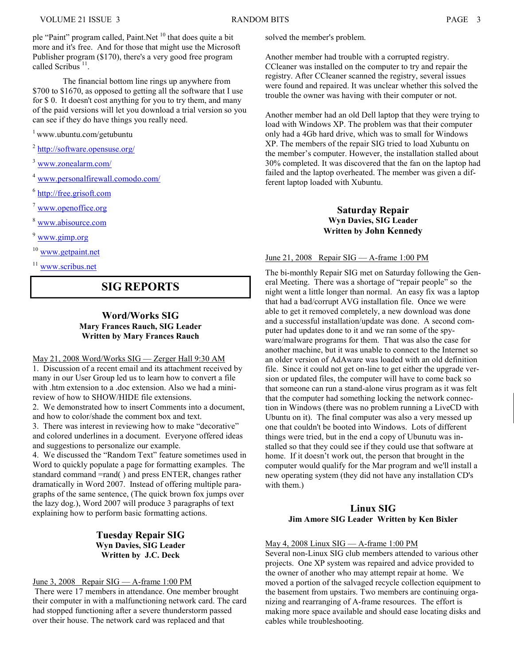.

ple "Paint" program called, Paint.Net <sup>10</sup> that does quite a bit more and it's free. And for those that might use the Microsoft Publisher program (\$170), there's a very good free program called Scribus<sup>11</sup>

 The financial bottom line rings up anywhere from \$700 to \$1670, as opposed to getting all the software that I use for \$ 0. It doesn't cost anything for you to try them, and many of the paid versions will let you download a trial version so you can see if they do have things you really need.

<sup>1</sup>www.ubuntu.com/getubuntu

<sup>2</sup> http://software.opensuse.org/

<sup>3</sup> www.zonealarm.com/

<sup>4</sup> www.personalfirewall.comodo.com/

<sup>6</sup> http://free.grisoft.com

<sup>7</sup> www.openoffice.org

<sup>8</sup> www.abisource.com

<sup>9</sup> www.gimp.org

<sup>10</sup> www.getpaint.net

www.scribus.net

#### SIG REPORTS

#### Word/Works SIG Mary Frances Rauch, SIG Leader Written by Mary Frances Rauch

#### May 21, 2008 Word/Works SIG — Zerger Hall 9:30 AM

1. Discussion of a recent email and its attachment received by many in our User Group led us to learn how to convert a file with .htm extension to a .doc extension. Also we had a minireview of how to SHOW/HIDE file extensions.

2. We demonstrated how to insert Comments into a document, and how to color/shade the comment box and text.

3. There was interest in reviewing how to make "decorative" and colored underlines in a document. Everyone offered ideas and suggestions to personalize our example.

4. We discussed the "Random Text" feature sometimes used in Word to quickly populate a page for formatting examples. The standard command =rand( ) and press ENTER, changes rather dramatically in Word 2007. Instead of offering multiple paragraphs of the same sentence, (The quick brown fox jumps over the lazy dog.), Word 2007 will produce 3 paragraphs of text explaining how to perform basic formatting actions.

#### Tuesday Repair SIG Wyn Davies, SIG Leader Written by J.C. Deck

#### June 3, 2008 Repair SIG — A-frame 1:00 PM

 There were 17 members in attendance. One member brought their computer in with a malfunctioning network card. The card had stopped functioning after a severe thunderstorm passed over their house. The network card was replaced and that

solved the member's problem.

Another member had trouble with a corrupted registry. CCleaner was installed on the computer to try and repair the registry. After CCleaner scanned the registry, several issues were found and repaired. It was unclear whether this solved the trouble the owner was having with their computer or not.

Another member had an old Dell laptop that they were trying to load with Windows XP. The problem was that their computer only had a 4Gb hard drive, which was to small for Windows XP. The members of the repair SIG tried to load Xubuntu on the member's computer. However, the installation stalled about 30% completed. It was discovered that the fan on the laptop had failed and the laptop overheated. The member was given a different laptop loaded with Xubuntu.

#### Saturday Repair Wyn Davies, SIG Leader Written by John Kennedy

#### June 21, 2008 Repair SIG — A-frame 1:00 PM

The bi-monthly Repair SIG met on Saturday following the General Meeting. There was a shortage of "repair people" so the night went a little longer than normal. An easy fix was a laptop that had a bad/corrupt AVG installation file. Once we were able to get it removed completely, a new download was done and a successful installation/update was done. A second computer had updates done to it and we ran some of the spyware/malware programs for them. That was also the case for another machine, but it was unable to connect to the Internet so an older version of AdAware was loaded with an old definition file. Since it could not get on-line to get either the upgrade version or updated files, the computer will have to come back so that someone can run a stand-alone virus program as it was felt that the computer had something locking the network connection in Windows (there was no problem running a LiveCD with Ubuntu on it). The final computer was also a very messed up one that couldn't be booted into Windows. Lots of different things were tried, but in the end a copy of Ubunutu was installed so that they could see if they could use that software at home. If it doesn't work out, the person that brought in the computer would qualify for the Mar program and we'll install a new operating system (they did not have any installation CD's with them.)

#### Linux SIG Jim Amore SIG Leader Written by Ken Bixler

#### May 4, 2008 Linux SIG — A-frame 1:00 PM

Several non-Linux SIG club members attended to various other projects. One XP system was repaired and advice provided to the owner of another who may attempt repair at home. We moved a portion of the salvaged recycle collection equipment to the basement from upstairs. Two members are continuing organizing and rearranging of A-frame resources. The effort is making more space available and should ease locating disks and cables while troubleshooting.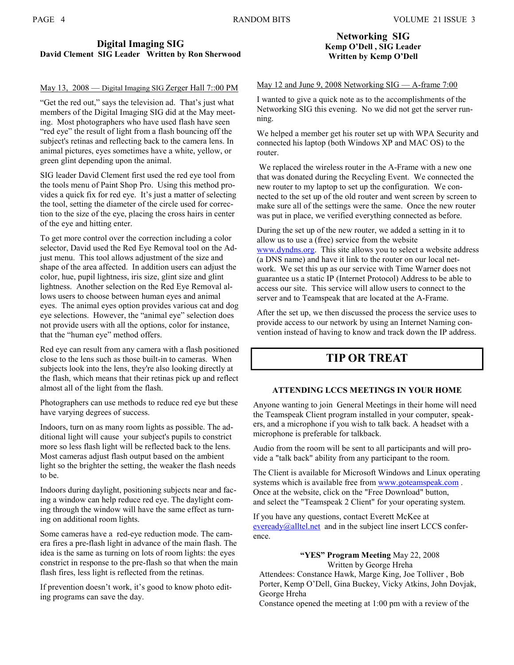#### Digital Imaging SIG David Clement SIG Leader Written by Ron Sherwood

#### May 13, 2008 — Digital Imaging SIG Zerger Hall 7::00 PM

"Get the red out," says the television ad. That's just what members of the Digital Imaging SIG did at the May meeting. Most photographers who have used flash have seen "red eye" the result of light from a flash bouncing off the subject's retinas and reflecting back to the camera lens. In animal pictures, eyes sometimes have a white, yellow, or green glint depending upon the animal.

SIG leader David Clement first used the red eye tool from the tools menu of Paint Shop Pro. Using this method provides a quick fix for red eye. It's just a matter of selecting the tool, setting the diameter of the circle used for correction to the size of the eye, placing the cross hairs in center of the eye and hitting enter.

To get more control over the correction including a color selector, David used the Red Eye Removal tool on the Adjust menu. This tool allows adjustment of the size and shape of the area affected. In addition users can adjust the color, hue, pupil lightness, iris size, glint size and glint lightness. Another selection on the Red Eye Removal allows users to choose between human eyes and animal eyes. The animal eyes option provides various cat and dog eye selections. However, the "animal eye" selection does not provide users with all the options, color for instance, that the "human eye" method offers.

Red eye can result from any camera with a flash positioned close to the lens such as those built-in to cameras. When subjects look into the lens, they're also looking directly at the flash, which means that their retinas pick up and reflect almost all of the light from the flash.

Photographers can use methods to reduce red eye but these have varying degrees of success.

Indoors, turn on as many room lights as possible. The additional light will cause your subject's pupils to constrict more so less flash light will be reflected back to the lens. Most cameras adjust flash output based on the ambient light so the brighter the setting, the weaker the flash needs to be.

Indoors during daylight, positioning subjects near and facing a window can help reduce red eye. The daylight coming through the window will have the same effect as turning on additional room lights.

Some cameras have a red-eye reduction mode. The camera fires a pre-flash light in advance of the main flash. The idea is the same as turning on lots of room lights: the eyes constrict in response to the pre-flash so that when the main flash fires, less light is reflected from the retinas.

If prevention doesn't work, it's good to know photo editing programs can save the day.

#### Networking SIG Kemp O'Dell , SIG Leader Written by Kemp O'Dell

#### May 12 and June 9, 2008 Networking SIG — A-frame 7:00

I wanted to give a quick note as to the accomplishments of the Networking SIG this evening. No we did not get the server running.

We helped a member get his router set up with WPA Security and connected his laptop (both Windows XP and MAC OS) to the router.

 We replaced the wireless router in the A-Frame with a new one that was donated during the Recycling Event. We connected the new router to my laptop to set up the configuration. We connected to the set up of the old router and went screen by screen to make sure all of the settings were the same. Once the new router was put in place, we verified everything connected as before.

During the set up of the new router, we added a setting in it to allow us to use a (free) service from the website www.dyndns.org. This site allows you to select a website address (a DNS name) and have it link to the router on our local network. We set this up as our service with Time Warner does not guarantee us a static IP (Internet Protocol) Address to be able to access our site. This service will allow users to connect to the server and to Teamspeak that are located at the A-Frame.

After the set up, we then discussed the process the service uses to provide access to our network by using an Internet Naming convention instead of having to know and track down the IP address.

#### TIP OR TREAT

#### ATTENDING LCCS MEETINGS IN YOUR HOME

Anyone wanting to join General Meetings in their home will need the Teamspeak Client program installed in your computer, speakers, and a microphone if you wish to talk back. A headset with a microphone is preferable for talkback.

Audio from the room will be sent to all participants and will provide a "talk back" ability from any participant to the room.

The Client is available for Microsoft Windows and Linux operating systems which is available free from www.goteamspeak.com. Once at the website, click on the "Free Download" button, and select the "Teamspeak 2 Client" for your operating system.

If you have any questions, contact Everett McKee at eveready@alltel.net and in the subject line insert LCCS conference.

#### "YES" Program Meeting May 22, 2008 Written by George Hreha

Attendees: Constance Hawk, Marge King, Joe Tolliver , Bob Porter, Kemp O'Dell, Gina Buckey, Vicky Atkins, John Dovjak, George Hreha

Constance opened the meeting at 1:00 pm with a review of the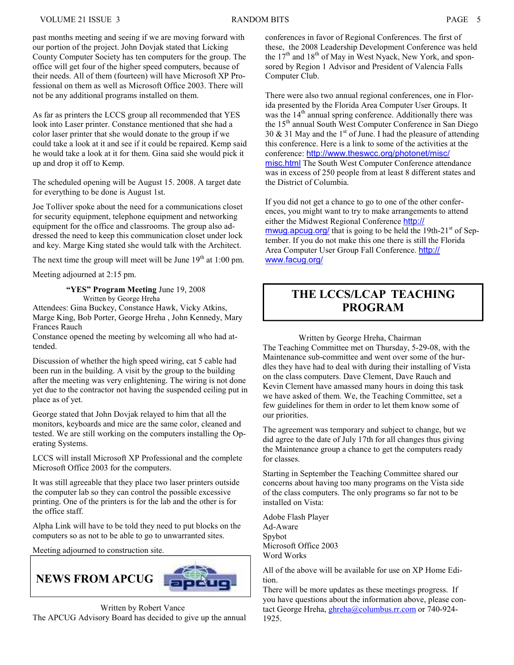past months meeting and seeing if we are moving forward with our portion of the project. John Dovjak stated that Licking County Computer Society has ten computers for the group. The office will get four of the higher speed computers, because of their needs. All of them (fourteen) will have Microsoft XP Professional on them as well as Microsoft Office 2003. There will not be any additional programs installed on them.

As far as printers the LCCS group all recommended that YES look into Laser printer. Constance mentioned that she had a color laser printer that she would donate to the group if we could take a look at it and see if it could be repaired. Kemp said he would take a look at it for them. Gina said she would pick it up and drop it off to Kemp.

The scheduled opening will be August 15. 2008. A target date for everything to be done is August 1st.

Joe Tolliver spoke about the need for a communications closet for security equipment, telephone equipment and networking equipment for the office and classrooms. The group also addressed the need to keep this communication closet under lock and key. Marge King stated she would talk with the Architect.

The next time the group will meet will be June  $19<sup>th</sup>$  at 1:00 pm.

Meeting adjourned at 2:15 pm.

 "YES" Program Meeting June 19, 2008 Written by George Hreha

Attendees: Gina Buckey, Constance Hawk, Vicky Atkins, Marge King, Bob Porter, George Hreha , John Kennedy, Mary Frances Rauch

Constance opened the meeting by welcoming all who had attended.

Discussion of whether the high speed wiring, cat 5 cable had been run in the building. A visit by the group to the building after the meeting was very enlightening. The wiring is not done yet due to the contractor not having the suspended ceiling put in place as of yet.

George stated that John Dovjak relayed to him that all the monitors, keyboards and mice are the same color, cleaned and tested. We are still working on the computers installing the Operating Systems.

LCCS will install Microsoft XP Professional and the complete Microsoft Office 2003 for the computers.

It was still agreeable that they place two laser printers outside the computer lab so they can control the possible excessive printing. One of the printers is for the lab and the other is for the office staff.

Alpha Link will have to be told they need to put blocks on the computers so as not to be able to go to unwarranted sites.

Meeting adjourned to construction site.



conferences in favor of Regional Conferences. The first of these, the 2008 Leadership Development Conference was held the  $17<sup>th</sup>$  and  $18<sup>th</sup>$  of May in West Nyack, New York, and sponsored by Region 1 Advisor and President of Valencia Falls Computer Club.

There were also two annual regional conferences, one in Florida presented by the Florida Area Computer User Groups. It was the 14<sup>th</sup> annual spring conference. Additionally there was the 15<sup>th</sup> annual South West Computer Conference in San Diego 30  $\&$  31 May and the 1<sup>st</sup> of June. I had the pleasure of attending this conference. Here is a link to some of the activities at the conference: http://www.theswcc.org/photonet/misc/ misc.html The South West Computer Conference attendance was in excess of 250 people from at least 8 different states and the District of Columbia.

If you did not get a chance to go to one of the other conferences, you might want to try to make arrangements to attend either the Midwest Regional Conference http:// mwug.apcug.org/ that is going to be held the  $19th-21<sup>st</sup>$  of September. If you do not make this one there is still the Florida Area Computer User Group Fall Conference. http:// www.facug.org/

### THE LCCS/LCAP TEACHING PROGRAM

Written by George Hreha, Chairman

The Teaching Committee met on Thursday, 5-29-08, with the Maintenance sub-committee and went over some of the hurdles they have had to deal with during their installing of Vista on the class computers. Dave Clement, Dave Rauch and Kevin Clement have amassed many hours in doing this task we have asked of them. We, the Teaching Committee, set a few guidelines for them in order to let them know some of our priorities.

The agreement was temporary and subject to change, but we did agree to the date of July 17th for all changes thus giving the Maintenance group a chance to get the computers ready for classes.

Starting in September the Teaching Committee shared our concerns about having too many programs on the Vista side of the class computers. The only programs so far not to be installed on Vista:

Adobe Flash Player Ad-Aware Spybot Microsoft Office 2003 Word Works

All of the above will be available for use on XP Home Edition.

There will be more updates as these meetings progress. If you have questions about the information above, please contact George Hreha, ghreha@columbus.rr.com or 740-924-1925.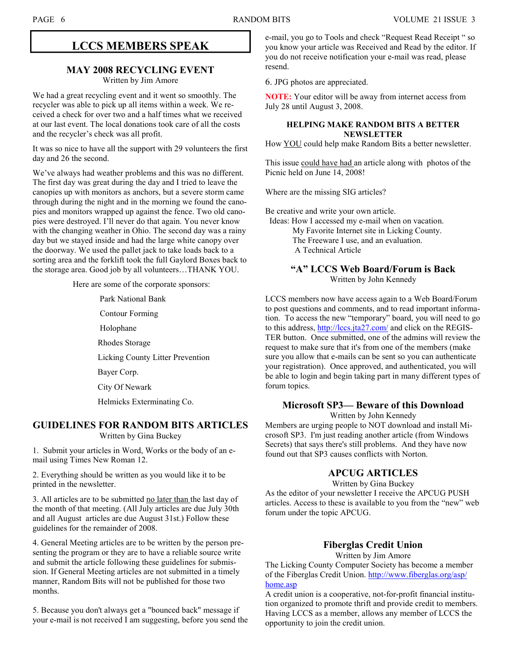#### LCCS MEMBERS SPEAK

#### MAY 2008 RECYCLING EVENT

Written by Jim Amore

We had a great recycling event and it went so smoothly. The recycler was able to pick up all items within a week. We received a check for over two and a half times what we received at our last event. The local donations took care of all the costs and the recycler's check was all profit.

It was so nice to have all the support with 29 volunteers the first day and 26 the second.

We've always had weather problems and this was no different. The first day was great during the day and I tried to leave the canopies up with monitors as anchors, but a severe storm came through during the night and in the morning we found the canopies and monitors wrapped up against the fence. Two old canopies were destroyed. I'll never do that again. You never know with the changing weather in Ohio. The second day was a rainy day but we stayed inside and had the large white canopy over the doorway. We used the pallet jack to take loads back to a sorting area and the forklift took the full Gaylord Boxes back to the storage area. Good job by all volunteers…THANK YOU.

Here are some of the corporate sponsors:

- Park National Bank
- Contour Forming
- Holophane
- Rhodes Storage
- Licking County Litter Prevention
- Bayer Corp.
- City Of Newark
- Helmicks Exterminating Co.

#### GUIDELINES FOR RANDOM BITS ARTICLES

Written by Gina Buckey

1. Submit your articles in Word, Works or the body of an email using Times New Roman 12.

2. Everything should be written as you would like it to be printed in the newsletter.

3. All articles are to be submitted no later than the last day of the month of that meeting. (All July articles are due July 30th and all August articles are due August 31st.) Follow these guidelines for the remainder of 2008.

4. General Meeting articles are to be written by the person presenting the program or they are to have a reliable source write and submit the article following these guidelines for submission. If General Meeting articles are not submitted in a timely manner, Random Bits will not be published for those two months.

5. Because you don't always get a "bounced back" message if your e-mail is not received I am suggesting, before you send the e-mail, you go to Tools and check "Request Read Receipt " so you know your article was Received and Read by the editor. If you do not receive notification your e-mail was read, please resend.

6. JPG photos are appreciated.

NOTE: Your editor will be away from internet access from July 28 until August 3, 2008.

#### HELPING MAKE RANDOM BITS A BETTER NEWSLETTER

How YOU could help make Random Bits a better newsletter.

This issue could have had an article along with photos of the Picnic held on June 14, 2008!

Where are the missing SIG articles?

Be creative and write your own article.

 Ideas: How I accessed my e-mail when on vacation. My Favorite Internet site in Licking County. The Freeware I use, and an evaluation. A Technical Article

#### "A" LCCS Web Board/Forum is Back Written by John Kennedy

LCCS members now have access again to a Web Board/Forum to post questions and comments, and to read important information. To access the new "temporary" board, you will need to go to this address, http://lccs.jta27.com/ and click on the REGIS-TER button. Once submitted, one of the admins will review the request to make sure that it's from one of the members (make sure you allow that e-mails can be sent so you can authenticate your registration). Once approved, and authenticated, you will be able to login and begin taking part in many different types of forum topics.

#### Microsoft SP3— Beware of this Download

Written by John Kennedy

Members are urging people to NOT download and install Microsoft SP3. I'm just reading another article (from Windows Secrets) that says there's still problems. And they have now found out that SP3 causes conflicts with Norton.

#### APCUG ARTICLES

Written by Gina Buckey

As the editor of your newsletter I receive the APCUG PUSH articles. Access to these is available to you from the "new" web forum under the topic APCUG.

#### Fiberglas Credit Union

Written by Jim Amore

The Licking County Computer Society has become a member of the Fiberglas Credit Union. http://www.fiberglas.org/asp/ home.asp

A credit union is a cooperative, not-for-profit financial institution organized to promote thrift and provide credit to members. Having LCCS as a member, allows any member of LCCS the opportunity to join the credit union.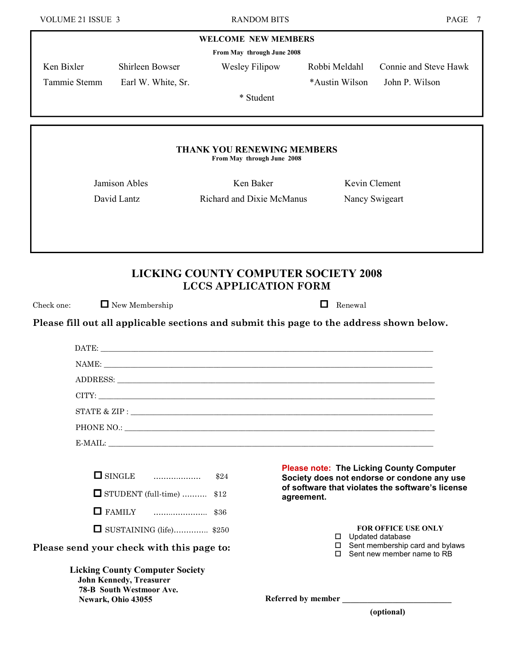#### WELCOME NEW MEMBERS

From May through June 2008

Ken Bixler Shirleen Bowser Wesley Filipow Robbi Meldahl Connie and Steve Hawk

Tammie Stemm Earl W. White, Sr. \*Austin Wilson John P. Wilson

\* Student

#### THANK YOU RENEWING MEMBERS

From May through June 2008

Jamison Ables Ken Baker Kevin Clement

David Lantz **Richard and Dixie McManus** Nancy Swigeart

LICKING COUNTY COMPUTER SOCIETY 2008 LCCS APPLICATION FORM

Check one:  $\Box$  New Membership  $\Box$  Renewal

Please fill out all applicable sections and submit this page to the address shown below.

|                                                                                                                                   | (optional)                                                                                     |  |
|-----------------------------------------------------------------------------------------------------------------------------------|------------------------------------------------------------------------------------------------|--|
| <b>Licking County Computer Society</b><br><b>John Kennedy, Treasurer</b><br><b>78-B South Westmoor Ave.</b><br>Newark, Ohio 43055 |                                                                                                |  |
| Please send your check with this page to:                                                                                         | $\square$ Sent membership card and bylaws<br>$\Box$ Sent new member name to RB                 |  |
| $\Box$ SUSTAINING (life) \$250                                                                                                    | <b>FOR OFFICE USE ONLY</b><br>$\Box$ Updated database                                          |  |
|                                                                                                                                   |                                                                                                |  |
| $\Box$ STUDENT (full-time)  \$12                                                                                                  | of software that violates the software's license<br>agreement.                                 |  |
| $\Box$ SINGLE $\Box$ $\Box$ \$24                                                                                                  | <b>Please note: The Licking County Computer</b><br>Society does not endorse or condone any use |  |
|                                                                                                                                   | E-MAIL:                                                                                        |  |
|                                                                                                                                   |                                                                                                |  |
|                                                                                                                                   |                                                                                                |  |
|                                                                                                                                   | CITY:                                                                                          |  |
|                                                                                                                                   |                                                                                                |  |
|                                                                                                                                   |                                                                                                |  |
|                                                                                                                                   |                                                                                                |  |